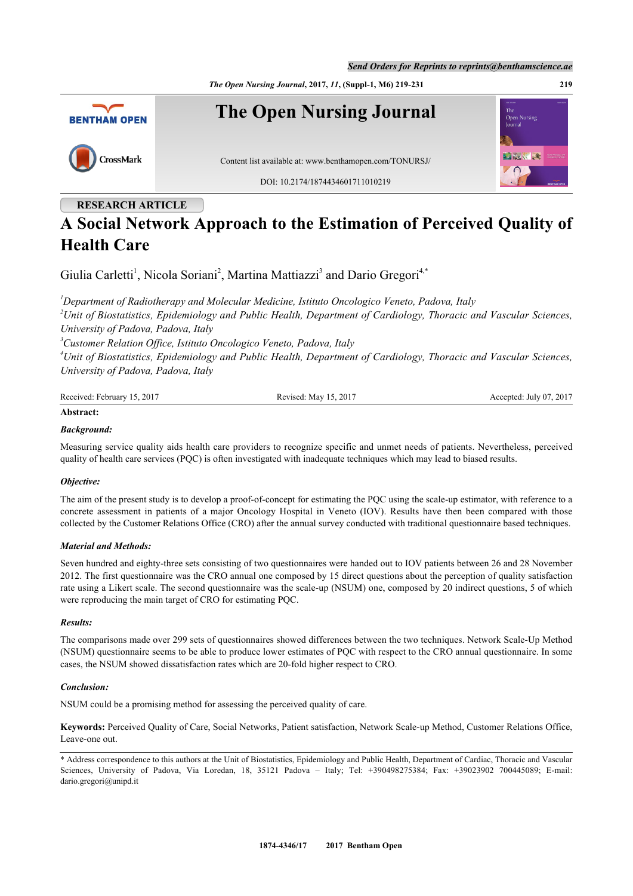*The Open Nursing Journal***, 2017,** *11***, (Suppl-1, M6) 219-231 219**



# **RESEARCH ARTICLE**

# **A Social Network Approach to the Estimation of Perceived Quality of Health Care**

Giulia Carletti<sup>[1](#page-0-0)</sup>, Nicola Soriani<sup>[2](#page-0-1)</sup>, Martina Mattiazzi<sup>[3](#page-0-2)</sup> and Dario Gregori<sup>[4](#page-0-3)[,\\*](#page-0-4)</sup>

<span id="page-0-1"></span><span id="page-0-0"></span>*<sup>1</sup>Department of Radiotherapy and Molecular Medicine, Istituto Oncologico Veneto, Padova, Italy <sup>2</sup>Unit of Biostatistics, Epidemiology and Public Health, Department of Cardiology, Thoracic and Vascular Sciences, University of Padova, Padova, Italy*

<span id="page-0-2"></span>*<sup>3</sup>Customer Relation Office, Istituto Oncologico Veneto, Padova, Italy*

<span id="page-0-3"></span>*<sup>4</sup>Unit of Biostatistics, Epidemiology and Public Health, Department of Cardiology, Thoracic and Vascular Sciences, University of Padova, Padova, Italy*

| Received: February 15, 2017 | Revised: May 15, 2017 | Accepted: July 07, 2017 |
|-----------------------------|-----------------------|-------------------------|
|                             |                       |                         |

# **Abstract:**

#### *Background:*

Measuring service quality aids health care providers to recognize specific and unmet needs of patients. Nevertheless, perceived quality of health care services (PQC) is often investigated with inadequate techniques which may lead to biased results.

#### *Objective:*

The aim of the present study is to develop a proof-of-concept for estimating the PQC using the scale-up estimator, with reference to a concrete assessment in patients of a major Oncology Hospital in Veneto (IOV). Results have then been compared with those collected by the Customer Relations Office (CRO) after the annual survey conducted with traditional questionnaire based techniques.

#### *Material and Methods:*

Seven hundred and eighty-three sets consisting of two questionnaires were handed out to IOV patients between 26 and 28 November 2012. The first questionnaire was the CRO annual one composed by 15 direct questions about the perception of quality satisfaction rate using a Likert scale. The second questionnaire was the scale-up (NSUM) one, composed by 20 indirect questions, 5 of which were reproducing the main target of CRO for estimating PQC.

#### *Results:*

The comparisons made over 299 sets of questionnaires showed differences between the two techniques. Network Scale-Up Method (NSUM) questionnaire seems to be able to produce lower estimates of PQC with respect to the CRO annual questionnaire. In some cases, the NSUM showed dissatisfaction rates which are 20-fold higher respect to CRO.

#### *Conclusion:*

NSUM could be a promising method for assessing the perceived quality of care.

**Keywords:** Perceived Quality of Care, Social Networks, Patient satisfaction, Network Scale-up Method, Customer Relations Office, Leave-one out.

<span id="page-0-4"></span><sup>\*</sup> Address correspondence to this authors at the Unit of Biostatistics, Epidemiology and Public Health, Department of Cardiac, Thoracic and Vascular Sciences, University of Padova, Via Loredan, 18, 35121 Padova – Italy; Tel: +390498275384; Fax: +39023902 700445089; E-mail: [dario.gregori@unipd.it](mailto:dario.gregori@unipd.it)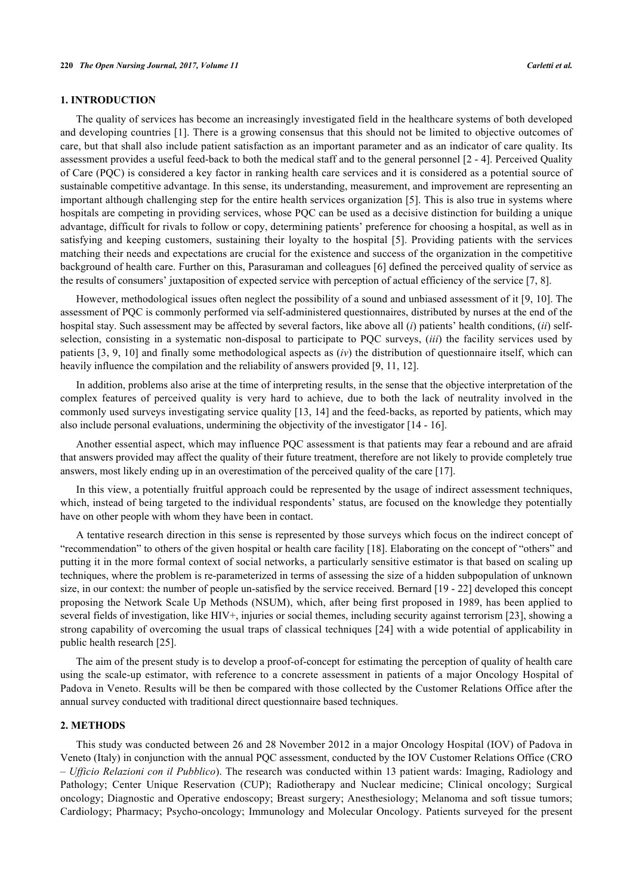#### **1. INTRODUCTION**

The quality of services has become an increasingly investigated field in the healthcare systems of both developed and developing countries [\[1](#page-10-0)]. There is a growing consensus that this should not be limited to objective outcomes of care, but that shall also include patient satisfaction as an important parameter and as an indicator of care quality. Its assessment provides a useful feed-back to both the medical staff and to the general personnel [[2](#page-10-1) - [4\]](#page-10-2). Perceived Quality of Care (PQC) is considered a key factor in ranking health care services and it is considered as a potential source of sustainable competitive advantage. In this sense, its understanding, measurement, and improvement are representing an important although challenging step for the entire health services organization [[5](#page-10-3)]. This is also true in systems where hospitals are competing in providing services, whose PQC can be used as a decisive distinction for building a unique advantage, difficult for rivals to follow or copy, determining patients' preference for choosing a hospital, as well as in satisfying and keeping customers, sustaining their loyalty to the hospital[[5](#page-10-3)]. Providing patients with the services matching their needs and expectations are crucial for the existence and success of the organization in the competitive background of health care. Further on this, Parasuraman and colleagues [[6](#page-10-4)] defined the perceived quality of service as the results of consumers' juxtaposition of expected service with perception of actual efficiency of the service [\[7](#page-10-5), [8](#page-10-6)].

However, methodological issues often neglect the possibility of a sound and unbiased assessment of it [[9,](#page-10-7) [10](#page-10-8)]. The assessment of PQC is commonly performed via self-administered questionnaires, distributed by nurses at the end of the hospital stay. Such assessment may be affected by several factors, like above all (*i*) patients' health conditions, (*ii*) selfselection, consisting in a systematic non-disposal to participate to PQC surveys, (*iii*) the facility services used by patients [\[3](#page-10-9), [9](#page-10-7), [10\]](#page-10-8) and finally some methodological aspects as (*iv*) the distribution of questionnaire itself, which can heavily influence the compilation and the reliability of answers provided [\[9](#page-10-7), [11](#page-10-10), [12](#page-10-11)].

In addition, problems also arise at the time of interpreting results, in the sense that the objective interpretation of the complex features of perceived quality is very hard to achieve, due to both the lack of neutrality involved in the commonly used surveys investigating service quality [[13,](#page-10-12) [14](#page-10-13)] and the feed-backs, as reported by patients, which may also include personal evaluations, undermining the objectivity of the investigator [\[14](#page-10-13) - [16\]](#page-10-14).

Another essential aspect, which may influence PQC assessment is that patients may fear a rebound and are afraid that answers provided may affect the quality of their future treatment, therefore are not likely to provide completely true answers, most likely ending up in an overestimation of the perceived quality of the care [[17\]](#page-11-0).

In this view, a potentially fruitful approach could be represented by the usage of indirect assessment techniques, which, instead of being targeted to the individual respondents' status, are focused on the knowledge they potentially have on other people with whom they have been in contact.

A tentative research direction in this sense is represented by those surveys which focus on the indirect concept of "recommendation" to others of the given hospital or health care facility [[18\]](#page-11-1). Elaborating on the concept of "others" and putting it in the more formal context of social networks, a particularly sensitive estimator is that based on scaling up techniques, where the problem is re-parameterized in terms of assessing the size of a hidden subpopulation of unknown size, in our context: the number of people un-satisfied by the service received. Bernard [\[19](#page-11-2) - [22\]](#page-11-3) developed this concept proposing the Network Scale Up Methods (NSUM), which, after being first proposed in 1989, has been applied to several fields of investigation, like HIV+, injuries or social themes, including security against terrorism [[23](#page-11-4)], showing a strong capability of overcoming the usual traps of classical techniques [\[24\]](#page-11-5) with a wide potential of applicability in public health research [\[25](#page-11-6)].

The aim of the present study is to develop a proof-of-concept for estimating the perception of quality of health care using the scale-up estimator, with reference to a concrete assessment in patients of a major Oncology Hospital of Padova in Veneto. Results will be then be compared with those collected by the Customer Relations Office after the annual survey conducted with traditional direct questionnaire based techniques.

#### **2. METHODS**

This study was conducted between 26 and 28 November 2012 in a major Oncology Hospital (IOV) of Padova in Veneto (Italy) in conjunction with the annual PQC assessment, conducted by the IOV Customer Relations Office (CRO – *Ufficio Relazioni con il Pubblico*). The research was conducted within 13 patient wards: Imaging, Radiology and Pathology; Center Unique Reservation (CUP); Radiotherapy and Nuclear medicine; Clinical oncology; Surgical oncology; Diagnostic and Operative endoscopy; Breast surgery; Anesthesiology; Melanoma and soft tissue tumors; Cardiology; Pharmacy; Psycho-oncology; Immunology and Molecular Oncology. Patients surveyed for the present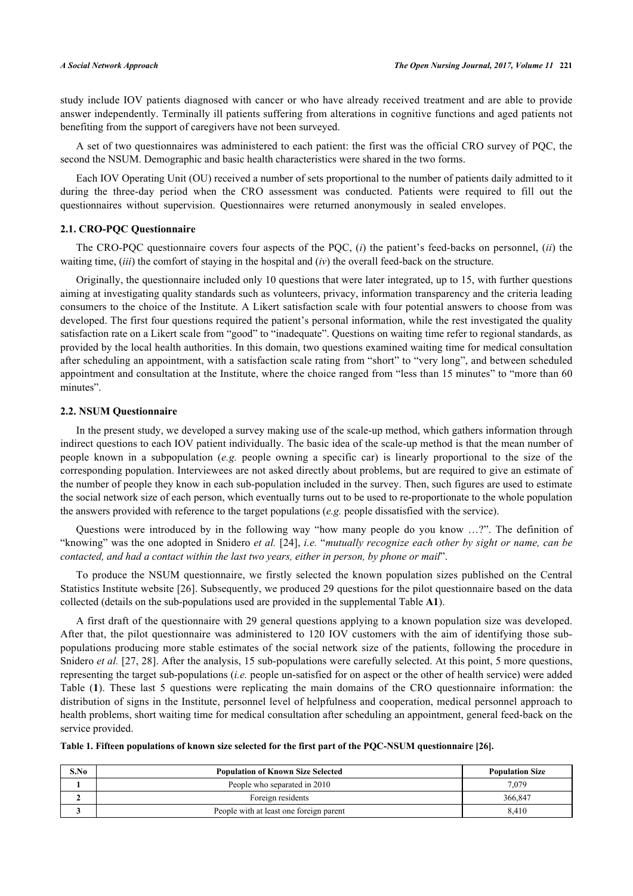study include IOV patients diagnosed with cancer or who have already received treatment and are able to provide answer independently. Terminally ill patients suffering from alterations in cognitive functions and aged patients not benefiting from the support of caregivers have not been surveyed.

A set of two questionnaires was administered to each patient: the first was the official CRO survey of PQC, the second the NSUM. Demographic and basic health characteristics were shared in the two forms.

Each IOV Operating Unit (OU) received a number of sets proportional to the number of patients daily admitted to it during the three-day period when the CRO assessment was conducted. Patients were required to fill out the questionnaires without supervision. Questionnaires were returned anonymously in sealed envelopes.

### **2.1. CRO-PQC Questionnaire**

The CRO-PQC questionnaire covers four aspects of the PQC, (*i*) the patient's feed-backs on personnel, (*ii*) the waiting time, (*iii*) the comfort of staying in the hospital and (*iv*) the overall feed-back on the structure.

Originally, the questionnaire included only 10 questions that were later integrated, up to 15, with further questions aiming at investigating quality standards such as volunteers, privacy, information transparency and the criteria leading consumers to the choice of the Institute. A Likert satisfaction scale with four potential answers to choose from was developed. The first four questions required the patient's personal information, while the rest investigated the quality satisfaction rate on a Likert scale from "good" to "inadequate". Questions on waiting time refer to regional standards, as provided by the local health authorities. In this domain, two questions examined waiting time for medical consultation after scheduling an appointment, with a satisfaction scale rating from "short" to "very long", and between scheduled appointment and consultation at the Institute, where the choice ranged from "less than 15 minutes" to "more than 60 minutes".

#### **2.2. NSUM Questionnaire**

In the present study, we developed a survey making use of the scale-up method, which gathers information through indirect questions to each IOV patient individually. The basic idea of the scale-up method is that the mean number of people known in a subpopulation (*e.g.* people owning a specific car) is linearly proportional to the size of the corresponding population. Interviewees are not asked directly about problems, but are required to give an estimate of the number of people they know in each sub-population included in the survey. Then, such figures are used to estimate the social network size of each person, which eventually turns out to be used to re-proportionate to the whole population the answers provided with reference to the target populations (*e.g.* people dissatisfied with the service).

Questions were introduced by in the following way "how many people do you know …?". The definition of "knowing" was the one adopted in Snidero *et al.* [\[24\]](#page-11-5), *i.e.* "*mutually recognize each other by sight or name, can be contacted, and had a contact within the last two years, either in person, by phone or mail*".

To produce the NSUM questionnaire, we firstly selected the known population sizes published on the Central Statistics Institute website [[26](#page-11-7)]. Subsequently, we produced 29 questions for the pilot questionnaire based on the data collected (details on the sub-populations used are provided in the supplemental Table **[A1](#page-9-0)**).

A first draft of the questionnaire with 29 general questions applying to a known population size was developed. After that, the pilot questionnaire was administered to 120 IOV customers with the aim of identifying those subpopulations producing more stable estimates of the social network size of the patients, following the procedure in Snidero *et al.* [[27,](#page-11-8) [28](#page-11-9)]. After the analysis, 15 sub-populations were carefully selected. At this point, 5 more questions, representing the target sub-populations (*i.e.* people un-satisfied for on aspect or the other of health service) were added Table (**[1](#page-2-0)**). These last 5 questions were replicating the main domains of the CRO questionnaire information: the distribution of signs in the Institute, personnel level of helpfulness and cooperation, medical personnel approach to health problems, short waiting time for medical consultation after scheduling an appointment, general feed-back on the service provided.

<span id="page-2-0"></span>**Table 1. Fifteen populations of known size selected for the first part of the PQC-NSUM questionnaire [\[26](#page-11-7)].**

| S.No | <b>Population of Known Size Selected</b> | <b>Population Size</b> |
|------|------------------------------------------|------------------------|
|      | People who separated in 2010             | 7.079                  |
|      | Foreign residents                        | 366,847                |
|      | People with at least one foreign parent  | 8.410                  |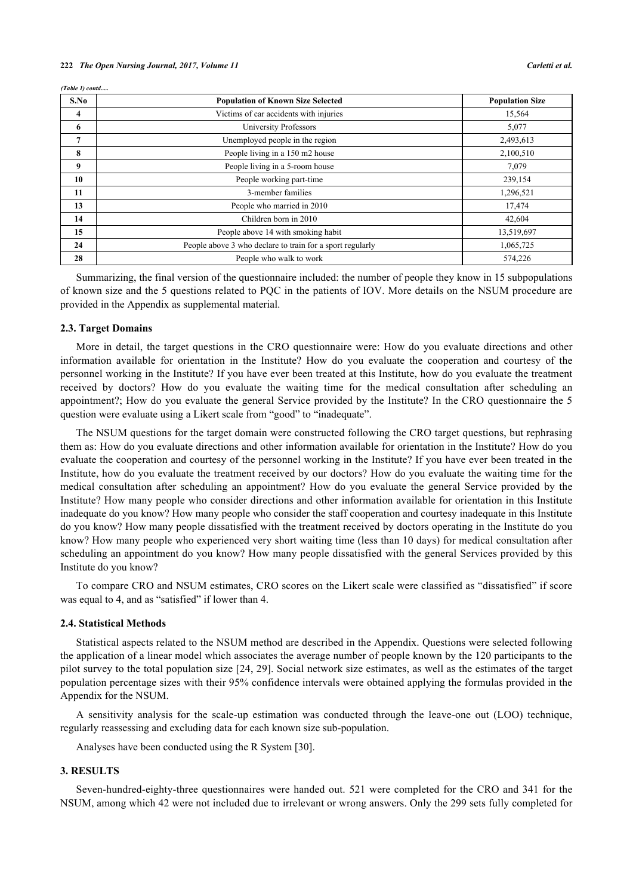|  | (Table 1) contd |
|--|-----------------|

| S.No | <b>Population of Known Size Selected</b>                  | <b>Population Size</b> |
|------|-----------------------------------------------------------|------------------------|
| 4    | Victims of car accidents with injuries                    | 15,564                 |
| 6    | <b>University Professors</b>                              | 5,077                  |
| 7    | Unemployed people in the region                           | 2,493,613              |
| 8    | People living in a 150 m2 house                           | 2,100,510              |
| 9    | People living in a 5-room house                           | 7,079                  |
| 10   | People working part-time                                  | 239,154                |
| 11   | 3-member families                                         | 1,296,521              |
| 13   | People who married in 2010                                | 17,474                 |
| 14   | Children born in 2010                                     | 42,604                 |
| 15   | People above 14 with smoking habit                        | 13,519,697             |
| 24   | People above 3 who declare to train for a sport regularly | 1,065,725              |
| 28   | People who walk to work                                   | 574,226                |

Summarizing, the final version of the questionnaire included: the number of people they know in 15 subpopulations of known size and the 5 questions related to PQC in the patients of IOV. More details on the NSUM procedure are provided in the Appendix as supplemental material.

#### **2.3. Target Domains**

More in detail, the target questions in the CRO questionnaire were: How do you evaluate directions and other information available for orientation in the Institute? How do you evaluate the cooperation and courtesy of the personnel working in the Institute? If you have ever been treated at this Institute, how do you evaluate the treatment received by doctors? How do you evaluate the waiting time for the medical consultation after scheduling an appointment?; How do you evaluate the general Service provided by the Institute? In the CRO questionnaire the 5 question were evaluate using a Likert scale from "good" to "inadequate".

The NSUM questions for the target domain were constructed following the CRO target questions, but rephrasing them as: How do you evaluate directions and other information available for orientation in the Institute? How do you evaluate the cooperation and courtesy of the personnel working in the Institute? If you have ever been treated in the Institute, how do you evaluate the treatment received by our doctors? How do you evaluate the waiting time for the medical consultation after scheduling an appointment? How do you evaluate the general Service provided by the Institute? How many people who consider directions and other information available for orientation in this Institute inadequate do you know? How many people who consider the staff cooperation and courtesy inadequate in this Institute do you know? How many people dissatisfied with the treatment received by doctors operating in the Institute do you know? How many people who experienced very short waiting time (less than 10 days) for medical consultation after scheduling an appointment do you know? How many people dissatisfied with the general Services provided by this Institute do you know?

To compare CRO and NSUM estimates, CRO scores on the Likert scale were classified as "dissatisfied" if score was equal to 4, and as "satisfied" if lower than 4.

#### **2.4. Statistical Methods**

Statistical aspects related to the NSUM method are described in the Appendix. Questions were selected following the application of a linear model which associates the average number of people known by the 120 participants to the pilot survey to the total population size [[24,](#page-11-5) [29\]](#page-11-10). Social network size estimates, as well as the estimates of the target population percentage sizes with their 95% confidence intervals were obtained applying the formulas provided in the Appendix for the NSUM.

A sensitivity analysis for the scale-up estimation was conducted through the leave-one out (LOO) technique, regularly reassessing and excluding data for each known size sub-population.

Analyses have been conducted using the R System [[30\]](#page-11-11).

#### **3. RESULTS**

Seven-hundred-eighty-three questionnaires were handed out. 521 were completed for the CRO and 341 for the NSUM, among which 42 were not included due to irrelevant or wrong answers. Only the 299 sets fully completed for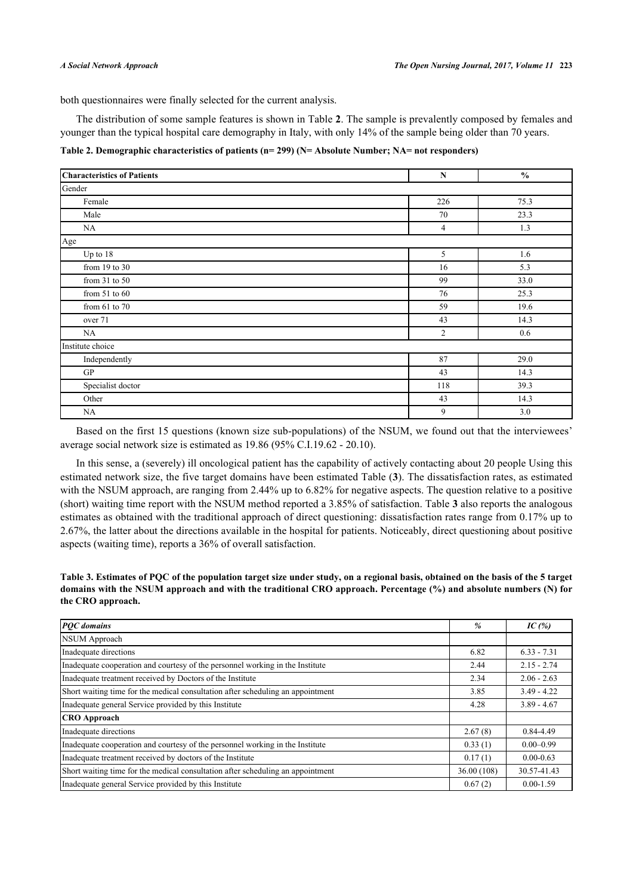both questionnaires were finally selected for the current analysis.

The distribution of some sample features is shown in Table **[2](#page-4-0)**. The sample is prevalently composed by females and younger than the typical hospital care demography in Italy, with only 14% of the sample being older than 70 years.

<span id="page-4-0"></span>**Table 2. Demographic characteristics of patients (n= 299) (N= Absolute Number; NA= not responders)**

| <b>Characteristics of Patients</b> | ${\bf N}$      | $\frac{0}{0}$ |  |  |  |  |  |  |  |
|------------------------------------|----------------|---------------|--|--|--|--|--|--|--|
| Gender                             |                |               |  |  |  |  |  |  |  |
| Female                             | 226            | 75.3          |  |  |  |  |  |  |  |
| Male                               | 70             | 23.3          |  |  |  |  |  |  |  |
| NA                                 | $\overline{4}$ | 1.3           |  |  |  |  |  |  |  |
| Age                                |                |               |  |  |  |  |  |  |  |
| Up to $18$                         | 5              | 1.6           |  |  |  |  |  |  |  |
| from 19 to 30                      | 16             | 5.3           |  |  |  |  |  |  |  |
| from $31$ to $50$                  | 99             | 33.0          |  |  |  |  |  |  |  |
| from $51$ to $60$                  | 76             | 25.3          |  |  |  |  |  |  |  |
| from $61$ to $70$                  | 59             | 19.6          |  |  |  |  |  |  |  |
| over 71                            | 43             | 14.3          |  |  |  |  |  |  |  |
| NA                                 | $\overline{c}$ | 0.6           |  |  |  |  |  |  |  |
| Institute choice                   |                |               |  |  |  |  |  |  |  |
| Independently                      | 87             | 29.0          |  |  |  |  |  |  |  |
| GP                                 | 43             | 14.3          |  |  |  |  |  |  |  |
| Specialist doctor                  | 118            | 39.3          |  |  |  |  |  |  |  |
| Other                              | 43             | 14.3          |  |  |  |  |  |  |  |
| NA                                 | 9              | 3.0           |  |  |  |  |  |  |  |

Based on the first 15 questions (known size sub-populations) of the NSUM, we found out that the interviewees' average social network size is estimated as 19.86 (95% C.I.19.62 - 20.10).

In this sense, a (severely) ill oncological patient has the capability of actively contacting about 20 people Using this estimated network size, the five target domains have been estimated Table (**[3](#page-4-1)**). The dissatisfaction rates, as estimated with the NSUM approach, are ranging from 2.44% up to 6.82% for negative aspects. The question relative to a positive (short) waiting time report with the NSUM method reported a 3.85% of satisfaction. Table **[3](#page-4-1)** also reports the analogous estimates as obtained with the traditional approach of direct questioning: dissatisfaction rates range from 0.17% up to 2.67%, the latter about the directions available in the hospital for patients. Noticeably, direct questioning about positive aspects (waiting time), reports a 36% of overall satisfaction.

<span id="page-4-1"></span>**Table 3. Estimates of PQC of the population target size under study, on a regional basis, obtained on the basis of the 5 target domains with the NSUM approach and with the traditional CRO approach. Percentage (%) and absolute numbers (N) for the CRO approach.**

| <b>POC</b> domains                                                              | $\frac{9}{6}$ | IC $(%)$      |
|---------------------------------------------------------------------------------|---------------|---------------|
| NSUM Approach                                                                   |               |               |
| Inadequate directions                                                           | 6.82          | $6.33 - 7.31$ |
| Inadequate cooperation and courtesy of the personnel working in the Institute   | 2.44          | $2.15 - 2.74$ |
| Inadequate treatment received by Doctors of the Institute                       | 2.34          | $2.06 - 2.63$ |
| Short waiting time for the medical consultation after scheduling an appointment | 3.85          | $3.49 - 4.22$ |
| Inadequate general Service provided by this Institute                           | 4.28          | $3.89 - 4.67$ |
| <b>CRO</b> Approach                                                             |               |               |
| Inadequate directions                                                           | 2.67(8)       | 0.84-4.49     |
| Inadequate cooperation and courtesy of the personnel working in the Institute   | 0.33(1)       | $0.00 - 0.99$ |
| Inadequate treatment received by doctors of the Institute                       | 0.17(1)       | $0.00 - 0.63$ |
| Short waiting time for the medical consultation after scheduling an appointment | 36.00 (108)   | 30.57-41.43   |
| Inadequate general Service provided by this Institute                           | 0.67(2)       | $0.00 - 1.59$ |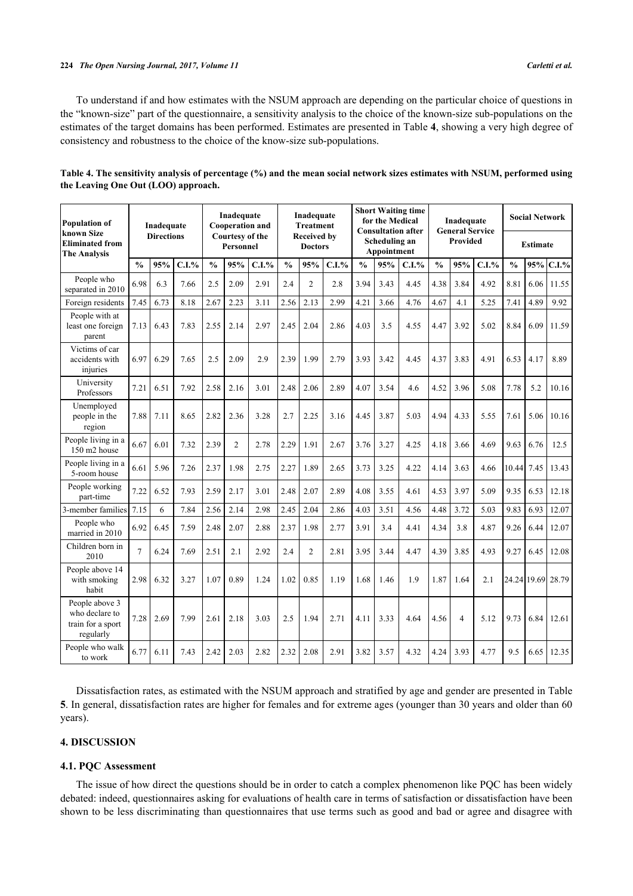To understand if and how estimates with the NSUM approach are depending on the particular choice of questions in the "known-size" part of the questionnaire, a sensitivity analysis to the choice of the known-size sub-populations on the estimates of the target domains has been performed. Estimates are presented in Table **[4](#page-5-0)**, showing a very high degree of consistency and robustness to the choice of the know-size sub-populations.

| <b>Population of</b>                                               |                | Inadequate        |       | Inadequate<br><b>Cooperation and</b> |                                     |       | Inadequate<br><b>Treatment</b> |                                      |       | <b>Short Waiting time</b><br>for the Medical<br><b>Consultation after</b> |                              |       |               | Inadequate<br><b>General Service</b> |       | <b>Social Network</b> |                 |                   |  |  |  |
|--------------------------------------------------------------------|----------------|-------------------|-------|--------------------------------------|-------------------------------------|-------|--------------------------------|--------------------------------------|-------|---------------------------------------------------------------------------|------------------------------|-------|---------------|--------------------------------------|-------|-----------------------|-----------------|-------------------|--|--|--|
| known Size<br><b>Eliminated from</b><br><b>The Analysis</b>        |                | <b>Directions</b> |       |                                      | <b>Courtesy of the</b><br>Personnel |       |                                | <b>Received by</b><br><b>Doctors</b> |       |                                                                           | Scheduling an<br>Appointment |       |               | <b>Provided</b>                      |       |                       | <b>Estimate</b> |                   |  |  |  |
|                                                                    | $\frac{0}{0}$  | 95%               | C.I.% | $\frac{0}{0}$                        | 95%                                 | C.I.% | $\frac{0}{0}$                  | 95%                                  | C.I.% | $\frac{0}{0}$                                                             | 95%                          | C.I.% | $\frac{0}{0}$ | 95%                                  | C.I.% | $\frac{0}{0}$         | 95%             | C.I.%             |  |  |  |
| People who<br>separated in 2010                                    | 6.98           | 6.3               | 7.66  | 2.5                                  | 2.09                                | 2.91  | 2.4                            | $\overline{2}$                       | 2.8   | 3.94                                                                      | 3.43                         | 4.45  | 4.38          | 3.84                                 | 4.92  | 8.81                  | 6.06            | 11.55             |  |  |  |
| Foreign residents                                                  | 7.45           | 6.73              | 8.18  | 2.67                                 | 2.23                                | 3.11  | 2.56                           | 2.13                                 | 2.99  | 4.21                                                                      | 3.66                         | 4.76  | 4.67          | 4.1                                  | 5.25  | 7.41                  | 4.89            | 9.92              |  |  |  |
| People with at<br>least one foreign<br>parent                      | 7.13           | 6.43              | 7.83  | 2.55                                 | 2.14                                | 2.97  | 2.45                           | 2.04                                 | 2.86  | 4.03                                                                      | 3.5                          | 4.55  | 4.47          | 3.92                                 | 5.02  | 8.84                  | 6.09            | 11.59             |  |  |  |
| Victims of car<br>accidents with<br>injuries                       | 6.97           | 6.29              | 7.65  | 2.5                                  | 2.09                                | 2.9   | 2.39                           | 1.99                                 | 2.79  | 3.93                                                                      | 3.42                         | 4.45  | 4.37          | 3.83                                 | 4.91  | 6.53                  | 4.17            | 8.89              |  |  |  |
| University<br>Professors                                           | 7.21           | 6.51              | 7.92  | 2.58                                 | 2.16                                | 3.01  | 2.48                           | 2.06                                 | 2.89  | 4.07                                                                      | 3.54                         | 4.6   | 4.52          | 3.96                                 | 5.08  | 7.78                  | 5.2             | 10.16             |  |  |  |
| Unemployed<br>people in the<br>region                              | 7.88           | 7.11              | 8.65  | 2.82                                 | 2.36                                | 3.28  | 2.7                            | 2.25                                 | 3.16  | 4.45                                                                      | 3.87                         | 5.03  | 4.94          | 4.33                                 | 5.55  | 7.61                  | 5.06            | 10.16             |  |  |  |
| People living in a<br>150 m2 house                                 | 6.67           | 6.01              | 7.32  | 2.39                                 | $\overline{c}$                      | 2.78  | 2.29                           | 1.91                                 | 2.67  | 3.76                                                                      | 3.27                         | 4.25  | 4.18          | 3.66                                 | 4.69  | 9.63                  | 6.76            | 12.5              |  |  |  |
| People living in a<br>5-room house                                 | 6.61           | 5.96              | 7.26  | 2.37                                 | 1.98                                | 2.75  | 2.27                           | 1.89                                 | 2.65  | 3.73                                                                      | 3.25                         | 4.22  | 4.14          | 3.63                                 | 4.66  | 10.44                 | 7.45            | 13.43             |  |  |  |
| People working<br>part-time                                        | 7.22           | 6.52              | 7.93  | 2.59                                 | 2.17                                | 3.01  | 2.48                           | 2.07                                 | 2.89  | 4.08                                                                      | 3.55                         | 4.61  | 4.53          | 3.97                                 | 5.09  | 9.35                  | 6.53            | 12.18             |  |  |  |
| 3-member families                                                  | 7.15           | 6                 | 7.84  | 2.56                                 | 2.14                                | 2.98  | 2.45                           | 2.04                                 | 2.86  | 4.03                                                                      | 3.51                         | 4.56  | 4.48          | 3.72                                 | 5.03  | 9.83                  | 6.93            | 12.07             |  |  |  |
| People who<br>married in 2010                                      | 6.92           | 6.45              | 7.59  | 2.48                                 | 2.07                                | 2.88  | 2.37                           | 1.98                                 | 2.77  | 3.91                                                                      | 3.4                          | 4.41  | 4.34          | 3.8                                  | 4.87  | 9.26                  | 6.44            | 12.07             |  |  |  |
| Children born in<br>2010                                           | $\overline{7}$ | 6.24              | 7.69  | 2.51                                 | 2.1                                 | 2.92  | 2.4                            | $\overline{c}$                       | 2.81  | 3.95                                                                      | 3.44                         | 4.47  | 4.39          | 3.85                                 | 4.93  | 9.27                  | 6.45            | 12.08             |  |  |  |
| People above 14<br>with smoking<br>habit                           | 2.98           | 6.32              | 3.27  | 1.07                                 | 0.89                                | 1.24  | 1.02                           | 0.85                                 | 1.19  | 1.68                                                                      | 1.46                         | 1.9   | 1.87          | 1.64                                 | 2.1   |                       |                 | 24.24 19.69 28.79 |  |  |  |
| People above 3<br>who declare to<br>train for a sport<br>regularly | 7.28           | 2.69              | 7.99  | 2.61                                 | 2.18                                | 3.03  | 2.5                            | 1.94                                 | 2.71  | 4.11                                                                      | 3.33                         | 4.64  | 4.56          | $\overline{4}$                       | 5.12  | 9.73                  | 6.84            | 12.61             |  |  |  |
| People who walk<br>to work                                         | 6.77           | 6.11              | 7.43  | 2.42                                 | 2.03                                | 2.82  | 2.32                           | 2.08                                 | 2.91  | 3.82                                                                      | 3.57                         | 4.32  | 4.24          | 3.93                                 | 4.77  | 9.5                   | 6.65            | 12.35             |  |  |  |

<span id="page-5-0"></span>

| Table 4. The sensitivity analysis of percentage (%) and the mean social network sizes estimates with NSUM, performed using |  |
|----------------------------------------------------------------------------------------------------------------------------|--|
| the Leaving One Out (LOO) approach.                                                                                        |  |

Dissatisfaction rates, as estimated with the NSUM approach and stratified by age and gender are presented in Table **[5](#page-6-0)**. In general, dissatisfaction rates are higher for females and for extreme ages (younger than 30 years and older than 60 years).

## **4. DISCUSSION**

#### **4.1. PQC Assessment**

The issue of how direct the questions should be in order to catch a complex phenomenon like PQC has been widely debated: indeed, questionnaires asking for evaluations of health care in terms of satisfaction or dissatisfaction have been shown to be less discriminating than questionnaires that use terms such as good and bad or agree and disagree with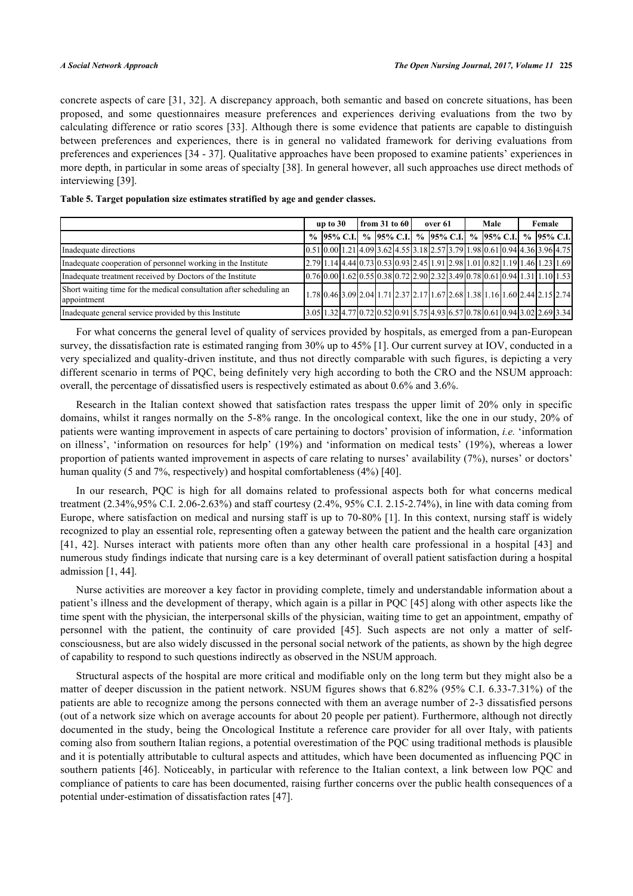concrete aspects of care [[31](#page-11-12), [32](#page-11-13)]. A discrepancy approach, both semantic and based on concrete situations, has been proposed, and some questionnaires measure preferences and experiences deriving evaluations from the two by calculating difference or ratio scores [[33\]](#page-11-14). Although there is some evidence that patients are capable to distinguish between preferences and experiences, there is in general no validated framework for deriving evaluations from preferences and experiences [\[34](#page-11-15) - [37\]](#page-11-16). Qualitative approaches have been proposed to examine patients' experiences in more depth, in particular in some areas of specialty [\[38](#page-11-17)]. In general however, all such approaches use direct methods of interviewing [\[39](#page-11-18)].

|                                                                                    | $\vert$ from 31 to 60<br>over 61<br>up to $30$ |  |  | Male                                                                                        | Female |  |                       |  |  |  |
|------------------------------------------------------------------------------------|------------------------------------------------|--|--|---------------------------------------------------------------------------------------------|--------|--|-----------------------|--|--|--|
|                                                                                    |                                                |  |  | % 95% C.I. $\%$ 95% C.I. $\%$ 95% C.I.                                                      |        |  | % 95% C.I. % 95% C.I. |  |  |  |
| Inadequate directions                                                              |                                                |  |  | $[0.51] 0.00] 1.21] 4.09] 3.62] 4.55] 3.18] 2.57] 3.79] 1.98] 0.61] 0.94] 4.36] 3.96] 4.75$ |        |  |                       |  |  |  |
| Inadequate cooperation of personnel working in the Institute                       |                                                |  |  | $[2.79]1.14]4.44[0.73]0.53[0.93]2.45[1.91]2.98[1.01]0.82[1.19]1.46[1.23]1.69$               |        |  |                       |  |  |  |
| Inadequate treatment received by Doctors of the Institute                          |                                                |  |  | $[0.76]0.00]1.62[0.55]0.38[0.72]2.90[2.32]3.49[0.78]0.61[0.94]1.31[1.10]1.53$               |        |  |                       |  |  |  |
| Short waiting time for the medical consultation after scheduling an<br>appointment |                                                |  |  | 1.78 0.46 3.09 2.04 1.71 2.37 2.17 1.67 2.68 1.38 1.16 1.60 2.44 2.15 2.74                  |        |  |                       |  |  |  |
| Inadequate general service provided by this Institute                              |                                                |  |  | 3.05 1.32 4.77 0.72 0.52 0.91 5.75 4.93 6.57 0.78 0.61 0.94 3.02 2.69 3.34                  |        |  |                       |  |  |  |

#### <span id="page-6-0"></span>**Table 5. Target population size estimates stratified by age and gender classes.**

For what concerns the general level of quality of services provided by hospitals, as emerged from a pan-European survey, the dissatisfaction rate is estimated ranging from 30% up to 45% [\[1](#page-10-0)]. Our current survey at IOV, conducted in a very specialized and quality-driven institute, and thus not directly comparable with such figures, is depicting a very different scenario in terms of PQC, being definitely very high according to both the CRO and the NSUM approach: overall, the percentage of dissatisfied users is respectively estimated as about 0.6% and 3.6%.

Research in the Italian context showed that satisfaction rates trespass the upper limit of 20% only in specific domains, whilst it ranges normally on the 5-8% range. In the oncological context, like the one in our study, 20% of patients were wanting improvement in aspects of care pertaining to doctors' provision of information, *i.e.* 'information on illness', 'information on resources for help' (19%) and 'information on medical tests' (19%), whereas a lower proportion of patients wanted improvement in aspects of care relating to nurses' availability (7%), nurses' or doctors' human quality (5 and 7%, respectively) and hospital comfortableness (4%) [[40\]](#page-12-0).

In our research, PQC is high for all domains related to professional aspects both for what concerns medical treatment (2.34%,95% C.I. 2.06-2.63%) and staff courtesy (2.4%, 95% C.I. 2.15-2.74%), in line with data coming from Europe, where satisfaction on medical and nursing staff is up to 70-80% [[1\]](#page-10-0). In this context, nursing staff is widely recognized to play an essential role, representing often a gateway between the patient and the health care organization [\[41](#page-12-1), [42](#page-12-2)]. Nurses interact with patients more often than any other health care professional in a hospital[[43](#page-12-3)] and numerous study findings indicate that nursing care is a key determinant of overall patient satisfaction during a hospital admission [\[1](#page-10-0), [44](#page-12-4)].

Nurse activities are moreover a key factor in providing complete, timely and understandable information about a patient's illness and the development of therapy, which again is a pillar in PQC [\[45\]](#page-12-5) along with other aspects like the time spent with the physician, the interpersonal skills of the physician, waiting time to get an appointment, empathy of personnel with the patient, the continuity of care provided [\[45](#page-12-5)]. Such aspects are not only a matter of selfconsciousness, but are also widely discussed in the personal social network of the patients, as shown by the high degree of capability to respond to such questions indirectly as observed in the NSUM approach.

Structural aspects of the hospital are more critical and modifiable only on the long term but they might also be a matter of deeper discussion in the patient network. NSUM figures shows that 6.82% (95% C.I. 6.33-7.31%) of the patients are able to recognize among the persons connected with them an average number of 2-3 dissatisfied persons (out of a network size which on average accounts for about 20 people per patient). Furthermore, although not directly documented in the study, being the Oncological Institute a reference care provider for all over Italy, with patients coming also from southern Italian regions, a potential overestimation of the PQC using traditional methods is plausible and it is potentially attributable to cultural aspects and attitudes, which have been documented as influencing PQC in southern patients [\[46\]](#page-12-6). Noticeably, in particular with reference to the Italian context, a link between low PQC and compliance of patients to care has been documented, raising further concerns over the public health consequences of a potential under-estimation of dissatisfaction rates [[47\]](#page-12-7).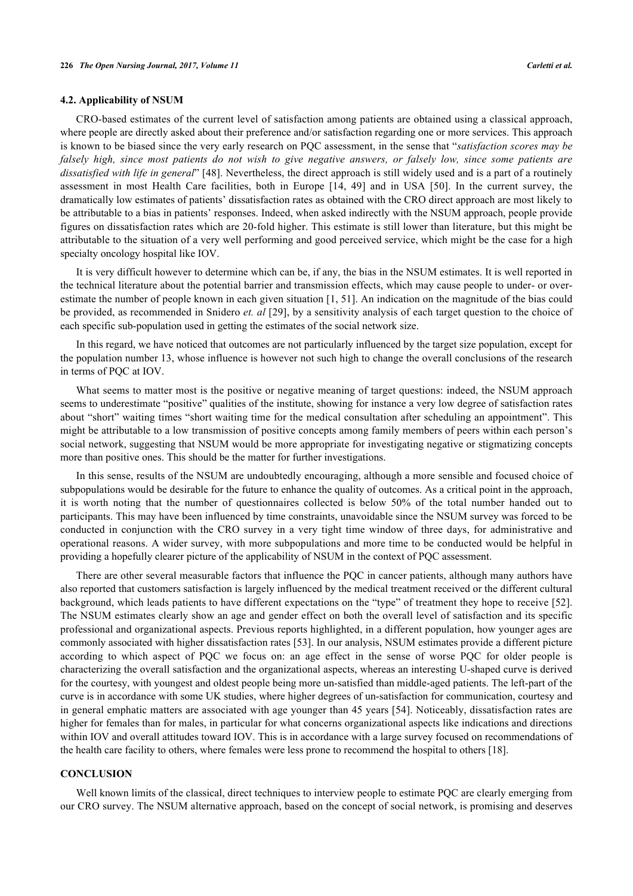#### **4.2. Applicability of NSUM**

CRO-based estimates of the current level of satisfaction among patients are obtained using a classical approach, where people are directly asked about their preference and/or satisfaction regarding one or more services. This approach is known to be biased since the very early research on PQC assessment, in the sense that "*satisfaction scores may be falsely high, since most patients do not wish to give negative answers, or falsely low, since some patients are dissatisfied with life in general*" [[48\]](#page-12-8). Nevertheless, the direct approach is still widely used and is a part of a routinely assessment in most Health Care facilities, both in Europe [\[14](#page-10-13), [49\]](#page-12-9) and in USA[[50](#page-12-10)]. In the current survey, the dramatically low estimates of patients' dissatisfaction rates as obtained with the CRO direct approach are most likely to be attributable to a bias in patients' responses. Indeed, when asked indirectly with the NSUM approach, people provide figures on dissatisfaction rates which are 20-fold higher. This estimate is still lower than literature, but this might be attributable to the situation of a very well performing and good perceived service, which might be the case for a high specialty oncology hospital like IOV.

It is very difficult however to determine which can be, if any, the bias in the NSUM estimates. It is well reported in the technical literature about the potential barrier and transmission effects, which may cause people to under- or overestimate the number of people known in each given situation [[1,](#page-10-0) [51\]](#page-12-11). An indication on the magnitude of the bias could be provided, as recommended in Snidero *et. al* [\[29](#page-11-10)], by a sensitivity analysis of each target question to the choice of each specific sub-population used in getting the estimates of the social network size.

In this regard, we have noticed that outcomes are not particularly influenced by the target size population, except for the population number 13, whose influence is however not such high to change the overall conclusions of the research in terms of PQC at IOV.

What seems to matter most is the positive or negative meaning of target questions: indeed, the NSUM approach seems to underestimate "positive" qualities of the institute, showing for instance a very low degree of satisfaction rates about "short" waiting times "short waiting time for the medical consultation after scheduling an appointment". This might be attributable to a low transmission of positive concepts among family members of peers within each person's social network, suggesting that NSUM would be more appropriate for investigating negative or stigmatizing concepts more than positive ones. This should be the matter for further investigations.

In this sense, results of the NSUM are undoubtedly encouraging, although a more sensible and focused choice of subpopulations would be desirable for the future to enhance the quality of outcomes. As a critical point in the approach, it is worth noting that the number of questionnaires collected is below 50% of the total number handed out to participants. This may have been influenced by time constraints, unavoidable since the NSUM survey was forced to be conducted in conjunction with the CRO survey in a very tight time window of three days, for administrative and operational reasons. A wider survey, with more subpopulations and more time to be conducted would be helpful in providing a hopefully clearer picture of the applicability of NSUM in the context of PQC assessment.

There are other several measurable factors that influence the PQC in cancer patients, although many authors have also reported that customers satisfaction is largely influenced by the medical treatment received or the different cultural background, which leads patients to have different expectations on the "type" of treatment they hope to receive [\[52\]](#page-12-12). The NSUM estimates clearly show an age and gender effect on both the overall level of satisfaction and its specific professional and organizational aspects. Previous reports highlighted, in a different population, how younger ages are commonly associated with higher dissatisfaction rates [\[53](#page-12-13)]. In our analysis, NSUM estimates provide a different picture according to which aspect of PQC we focus on: an age effect in the sense of worse PQC for older people is characterizing the overall satisfaction and the organizational aspects, whereas an interesting U-shaped curve is derived for the courtesy, with youngest and oldest people being more un-satisfied than middle-aged patients. The left-part of the curve is in accordance with some UK studies, where higher degrees of un-satisfaction for communication, courtesy and in general emphatic matters are associated with age younger than 45 years [\[54](#page-12-14)]. Noticeably, dissatisfaction rates are higher for females than for males, in particular for what concerns organizational aspects like indications and directions within IOV and overall attitudes toward IOV. This is in accordance with a large survey focused on recommendations of the health care facility to others, where females were less prone to recommend the hospital to others [[18\]](#page-11-1).

### **CONCLUSION**

Well known limits of the classical, direct techniques to interview people to estimate PQC are clearly emerging from our CRO survey. The NSUM alternative approach, based on the concept of social network, is promising and deserves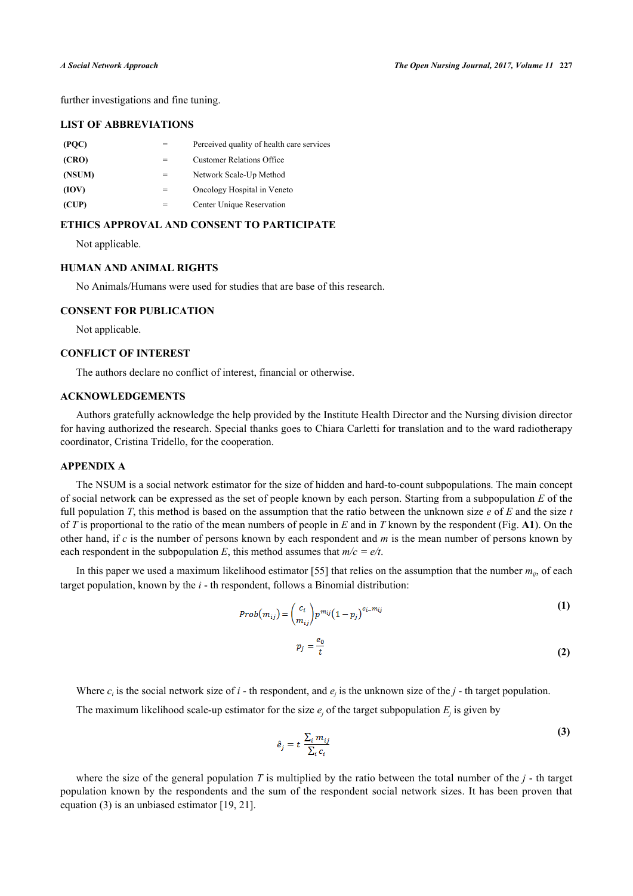further investigations and fine tuning.

### **LIST OF ABBREVIATIONS**

| (PQC)  | Perceived quality of health care services |
|--------|-------------------------------------------|
| (CRO)  | <b>Customer Relations Office</b>          |
| (NSUM) | Network Scale-Up Method                   |
| (IOV)  | Oncology Hospital in Veneto               |
| (CUP)  | Center Unique Reservation                 |

#### **ETHICS APPROVAL AND CONSENT TO PARTICIPATE**

Not applicable.

#### **HUMAN AND ANIMAL RIGHTS**

No Animals/Humans were used for studies that are base of this research.

#### **CONSENT FOR PUBLICATION**

Not applicable.

#### **CONFLICT OF INTEREST**

The authors declare no conflict of interest, financial or otherwise.

#### **ACKNOWLEDGEMENTS**

Authors gratefully acknowledge the help provided by the Institute Health Director and the Nursing division director for having authorized the research. Special thanks goes to Chiara Carletti for translation and to the ward radiotherapy coordinator, Cristina Tridello, for the cooperation.

### **APPENDIX A**

The NSUM is a social network estimator for the size of hidden and hard-to-count subpopulations. The main concept of social network can be expressed as the set of people known by each person. Starting from a subpopulation *E* of the full population *T*, this method is based on the assumption that the ratio between the unknown size *e* of *E* and the size *t* of *T* is proportional to the ratio of the mean numbers of people in *E* and in *T* known by the respondent (Fig. **[A1](#page-9-1)**). On the other hand, if *c* is the number of persons known by each respondent and *m* is the mean number of persons known by each respondent in the subpopulation *E*, this method assumes that  $m/c = e/t$ .

In this paper we used a maximum likelihood estimator [[55\]](#page-12-15) that relies on the assumption that the number  $m_{ij}$ , of each target population, known by the *i* - th respondent, follows a Binomial distribution:

$$
Prob(m_{ij}) = {c_i \choose m_{ij}} p^{m_{ij}} (1-p_j)^{c_i-m_{ij}}
$$
 (1)

$$
p_j = \frac{e_0}{t} \tag{2}
$$

Where  $c_i$  is the social network size of *i* - th respondent, and  $e_j$  is the unknown size of the *j* - th target population.

The maximum likelihood scale-up estimator for the size  $e_j$  of the target subpopulation  $E_j$  is given by

$$
\hat{e}_j = t \frac{\sum_i m_{ij}}{\sum_i c_i} \tag{3}
$$

where the size of the general population *T* is multiplied by the ratio between the total number of the *j* - th target population known by the respondents and the sum of the respondent social network sizes. It has been proven that equation (3) is an unbiased estimator [\[19](#page-11-2), [21](#page-11-19)].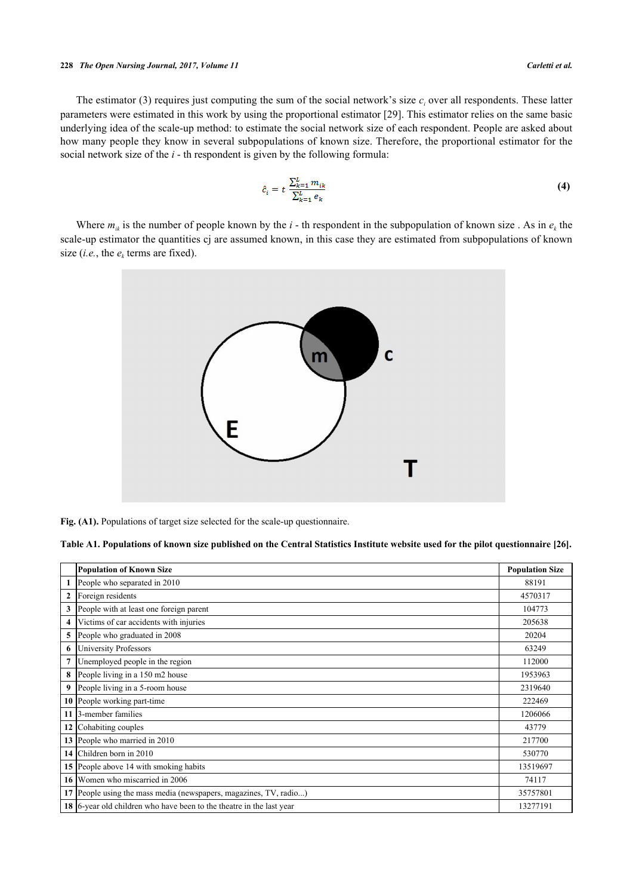#### *The Open Nursing Journal, 2017, Volume 11 Carletti et al.*

The estimator (3) requires just computing the sum of the social network's size  $c_i$  over all respondents. These latter parameters were estimated in this work by using the proportional estimator [\[29](#page-11-10)]. This estimator relies on the same basic underlying idea of the scale-up method: to estimate the social network size of each respondent. People are asked about how many people they know in several subpopulations of known size. Therefore, the proportional estimator for the social network size of the *i* - th respondent is given by the following formula:

$$
\hat{c}_i = t \frac{\sum_{k=1}^{L} m_{ik}}{\sum_{k=1}^{L} e_k} \tag{4}
$$

<span id="page-9-1"></span>Where  $m_{ik}$  is the number of people known by the *i* - th respondent in the subpopulation of known size. As in  $e_k$  the scale-up estimator the quantities cj are assumed known, in this case they are estimated from subpopulations of known size (*i.e.*, the  $e_k$  terms are fixed).



Fig. (A1). Populations of target size selected for the scale-up questionnaire.

<span id="page-9-0"></span>**Table A1. Populations of known size published on the Central Statistics Institute website used for the pilot questionnaire [\[26](#page-11-7)].**

|                    | <b>Population of Known Size</b>                                      | <b>Population Size</b> |
|--------------------|----------------------------------------------------------------------|------------------------|
| 1                  | People who separated in 2010                                         | 88191                  |
| $\mathbf{2}$       | Foreign residents                                                    | 4570317                |
| 3                  | People with at least one foreign parent                              | 104773                 |
| $\overline{\bf 4}$ | Victims of car accidents with injuries                               | 205638                 |
| 5                  | People who graduated in 2008                                         | 20204                  |
| 6                  | <b>University Professors</b>                                         | 63249                  |
| 7                  | Unemployed people in the region                                      | 112000                 |
| 8                  | People living in a 150 m2 house                                      | 1953963                |
| 9                  | People living in a 5-room house                                      | 2319640                |
| 10                 | People working part-time                                             | 222469                 |
| 11                 | 3-member families                                                    | 1206066                |
| 12                 | Cohabiting couples                                                   | 43779                  |
| 13                 | People who married in 2010                                           | 217700                 |
|                    | 14 Children born in 2010                                             | 530770                 |
| 15                 | People above 14 with smoking habits                                  | 13519697               |
| 16 <sup>1</sup>    | Women who miscarried in 2006                                         | 74117                  |
| 17                 | People using the mass media (newspapers, magazines, TV, radio)       | 35757801               |
|                    | 18 6-year old children who have been to the theatre in the last year | 13277191               |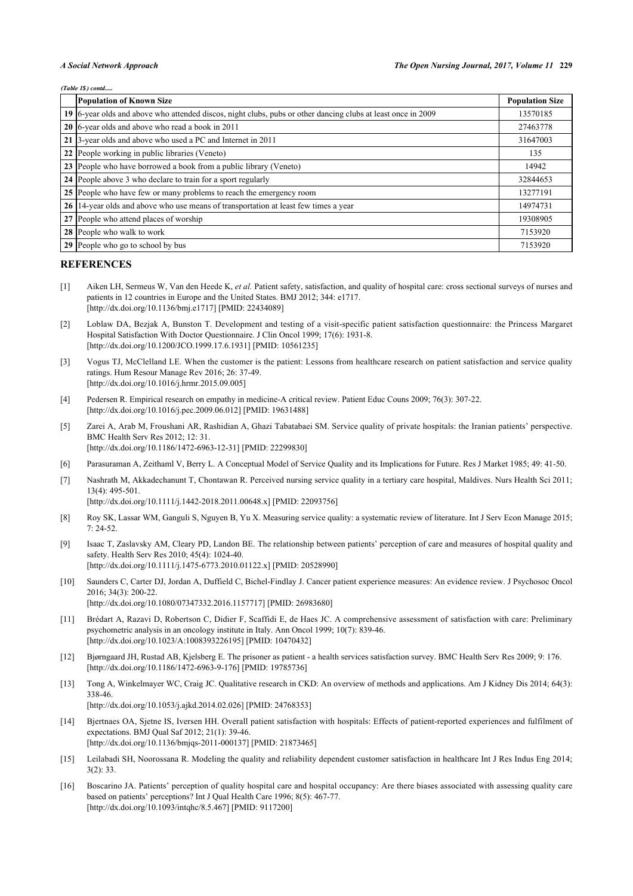#### *(Table 1\$) contd.....*

| <b>Population of Known Size</b>                                                                               | <b>Population Size</b> |
|---------------------------------------------------------------------------------------------------------------|------------------------|
| 19 [6-year olds and above who attended discos, night clubs, pubs or other dancing clubs at least once in 2009 | 13570185               |
| 20 6-year olds and above who read a book in 2011                                                              | 27463778               |
| 21 3-year olds and above who used a PC and Internet in 2011                                                   | 31647003               |
| 22 People working in public libraries (Veneto)                                                                | 135                    |
| 23 People who have borrowed a book from a public library (Veneto)                                             | 14942                  |
| 24 People above 3 who declare to train for a sport regularly                                                  | 32844653               |
| 25 People who have few or many problems to reach the emergency room                                           | 13277191               |
| 26 14-year olds and above who use means of transportation at least few times a year                           | 14974731               |
| 27 People who attend places of worship                                                                        | 19308905               |
| 28 People who walk to work                                                                                    | 7153920                |
| 29 People who go to school by bus                                                                             | 7153920                |

#### **REFERENCES**

- <span id="page-10-0"></span>[1] Aiken LH, Sermeus W, Van den Heede K, *et al.* Patient safety, satisfaction, and quality of hospital care: cross sectional surveys of nurses and patients in 12 countries in Europe and the United States. BMJ 2012; 344: e1717. [\[http://dx.doi.org/10.1136/bmj.e1717\]](http://dx.doi.org/10.1136/bmj.e1717) [PMID: [22434089](http://www.ncbi.nlm.nih.gov/pubmed/22434089)]
- <span id="page-10-1"></span>[2] Loblaw DA, Bezjak A, Bunston T. Development and testing of a visit-specific patient satisfaction questionnaire: the Princess Margaret Hospital Satisfaction With Doctor Questionnaire. J Clin Oncol 1999; 17(6): 1931-8. [\[http://dx.doi.org/10.1200/JCO.1999.17.6.1931](http://dx.doi.org/10.1200/JCO.1999.17.6.1931)] [PMID: [10561235\]](http://www.ncbi.nlm.nih.gov/pubmed/10561235)
- <span id="page-10-9"></span>[3] Vogus TJ, McClelland LE. When the customer is the patient: Lessons from healthcare research on patient satisfaction and service quality ratings. Hum Resour Manage Rev 2016; 26: 37-49. [\[http://dx.doi.org/10.1016/j.hrmr.2015.09.005\]](http://dx.doi.org/10.1016/j.hrmr.2015.09.005)
- <span id="page-10-2"></span>[4] Pedersen R. Empirical research on empathy in medicine-A critical review. Patient Educ Couns 2009; 76(3): 307-22. [\[http://dx.doi.org/10.1016/j.pec.2009.06.012](http://dx.doi.org/10.1016/j.pec.2009.06.012)] [PMID: [19631488\]](http://www.ncbi.nlm.nih.gov/pubmed/19631488)
- <span id="page-10-3"></span>[5] Zarei A, Arab M, Froushani AR, Rashidian A, Ghazi Tabatabaei SM. Service quality of private hospitals: the Iranian patients' perspective. BMC Health Serv Res 2012; 12: 31. [\[http://dx.doi.org/10.1186/1472-6963-12-31\]](http://dx.doi.org/10.1186/1472-6963-12-31) [PMID: [22299830](http://www.ncbi.nlm.nih.gov/pubmed/22299830)]
- <span id="page-10-4"></span>[6] Parasuraman A, Zeithaml V, Berry L. A Conceptual Model of Service Quality and its Implications for Future. Res J Market 1985; 49: 41-50.
- <span id="page-10-5"></span>[7] Nashrath M, Akkadechanunt T, Chontawan R. Perceived nursing service quality in a tertiary care hospital, Maldives. Nurs Health Sci 2011; 13(4): 495-501.

[\[http://dx.doi.org/10.1111/j.1442-2018.2011.00648.x\]](http://dx.doi.org/10.1111/j.1442-2018.2011.00648.x) [PMID: [22093756](http://www.ncbi.nlm.nih.gov/pubmed/22093756)]

- <span id="page-10-6"></span>[8] Roy SK, Lassar WM, Ganguli S, Nguyen B, Yu X. Measuring service quality: a systematic review of literature. Int J Serv Econ Manage 2015; 7: 24-52.
- <span id="page-10-7"></span>[9] Isaac T, Zaslavsky AM, Cleary PD, Landon BE. The relationship between patients' perception of care and measures of hospital quality and safety. Health Serv Res 2010; 45(4): 1024-40. [\[http://dx.doi.org/10.1111/j.1475-6773.2010.01122.x\]](http://dx.doi.org/10.1111/j.1475-6773.2010.01122.x) [PMID: [20528990](http://www.ncbi.nlm.nih.gov/pubmed/20528990)]
- <span id="page-10-8"></span>[10] Saunders C, Carter DJ, Jordan A, Duffield C, Bichel-Findlay J. Cancer patient experience measures: An evidence review. J Psychosoc Oncol 2016; 34(3): 200-22. [\[http://dx.doi.org/10.1080/07347332.2016.1157717\]](http://dx.doi.org/10.1080/07347332.2016.1157717) [PMID: [26983680](http://www.ncbi.nlm.nih.gov/pubmed/26983680)]
- <span id="page-10-10"></span>[11] Brédart A, Razavi D, Robertson C, Didier F, Scaffidi E, de Haes JC. A comprehensive assessment of satisfaction with care: Preliminary psychometric analysis in an oncology institute in Italy. Ann Oncol 1999; 10(7): 839-46. [\[http://dx.doi.org/10.1023/A:1008393226195\]](http://dx.doi.org/10.1023/A:1008393226195) [PMID: [10470432](http://www.ncbi.nlm.nih.gov/pubmed/10470432)]
- <span id="page-10-11"></span>[12] Bjørngaard JH, Rustad AB, Kjelsberg E. The prisoner as patient - a health services satisfaction survey. BMC Health Serv Res 2009; 9: 176. [\[http://dx.doi.org/10.1186/1472-6963-9-176\]](http://dx.doi.org/10.1186/1472-6963-9-176) [PMID: [19785736](http://www.ncbi.nlm.nih.gov/pubmed/19785736)]
- <span id="page-10-12"></span>[13] Tong A, Winkelmayer WC, Craig JC. Qualitative research in CKD: An overview of methods and applications. Am J Kidney Dis 2014; 64(3): 338-46. [\[http://dx.doi.org/10.1053/j.ajkd.2014.02.026\]](http://dx.doi.org/10.1053/j.ajkd.2014.02.026) [PMID: [24768353](http://www.ncbi.nlm.nih.gov/pubmed/24768353)]
- <span id="page-10-13"></span>[14] Bjertnaes OA, Sjetne IS, Iversen HH. Overall patient satisfaction with hospitals: Effects of patient-reported experiences and fulfilment of expectations. BMJ Qual Saf 2012; 21(1): 39-46. [\[http://dx.doi.org/10.1136/bmjqs-2011-000137\]](http://dx.doi.org/10.1136/bmjqs-2011-000137) [PMID: [21873465](http://www.ncbi.nlm.nih.gov/pubmed/21873465)]
- [15] Leilabadi SH, Noorossana R. Modeling the quality and reliability dependent customer satisfaction in healthcare Int J Res Indus Eng 2014; 3(2): 33.
- <span id="page-10-14"></span>[16] Boscarino JA. Patients' perception of quality hospital care and hospital occupancy: Are there biases associated with assessing quality care based on patients' perceptions? Int J Qual Health Care 1996; 8(5): 467-77. [\[http://dx.doi.org/10.1093/intqhc/8.5.467](http://dx.doi.org/10.1093/intqhc/8.5.467)] [PMID: [9117200\]](http://www.ncbi.nlm.nih.gov/pubmed/9117200)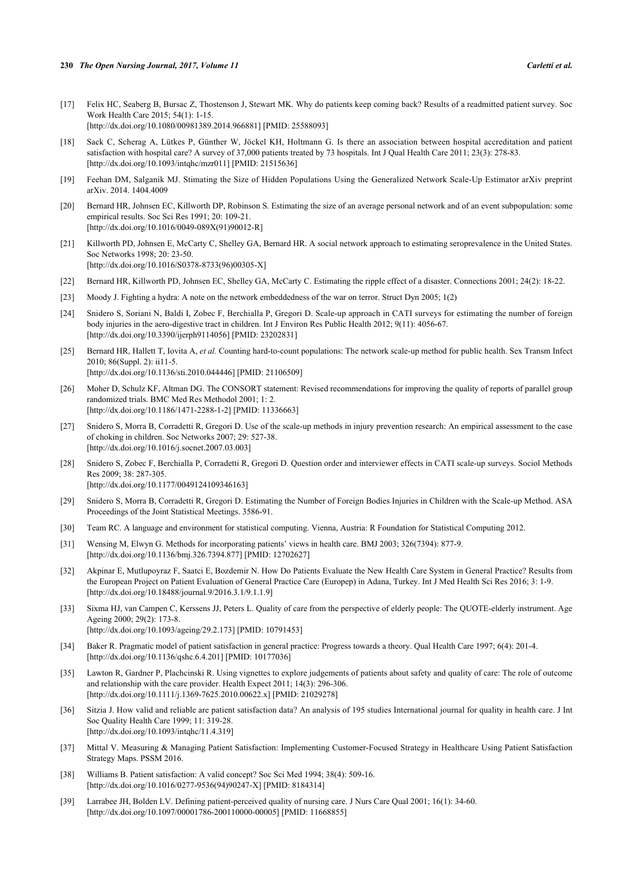- <span id="page-11-0"></span>[17] Felix HC, Seaberg B, Bursac Z, Thostenson J, Stewart MK. Why do patients keep coming back? Results of a readmitted patient survey. Soc Work Health Care 2015; 54(1): 1-15. [\[http://dx.doi.org/10.1080/00981389.2014.966881\]](http://dx.doi.org/10.1080/00981389.2014.966881) [PMID: [25588093](http://www.ncbi.nlm.nih.gov/pubmed/25588093)]
- <span id="page-11-1"></span>[18] Sack C, Scherag A, Lütkes P, Günther W, Jöckel KH, Holtmann G. Is there an association between hospital accreditation and patient satisfaction with hospital care? A survey of 37,000 patients treated by 73 hospitals. Int J Qual Health Care 2011; 23(3): 278-83. [\[http://dx.doi.org/10.1093/intqhc/mzr011](http://dx.doi.org/10.1093/intqhc/mzr011)] [PMID: [21515636](http://www.ncbi.nlm.nih.gov/pubmed/21515636)]
- <span id="page-11-2"></span>[19] Feehan DM, Salganik MJ. Stimating the Size of Hidden Populations Using the Generalized Network Scale-Up Estimator arXiv preprint arXiv. 2014. 1404.4009
- [20] Bernard HR, Johnsen EC, Killworth DP, Robinson S. Estimating the size of an average personal network and of an event subpopulation: some empirical results. Soc Sci Res 1991; 20: 109-21. [\[http://dx.doi.org/10.1016/0049-089X\(91\)90012-R\]](http://dx.doi.org/10.1016/0049-089X(91)90012-R)
- <span id="page-11-19"></span>[21] Killworth PD, Johnsen E, McCarty C, Shelley GA, Bernard HR. A social network approach to estimating seroprevalence in the United States. Soc Networks 1998; 20: 23-50. [\[http://dx.doi.org/10.1016/S0378-8733\(96\)00305-X\]](http://dx.doi.org/10.1016/S0378-8733(96)00305-X)
- <span id="page-11-3"></span>[22] Bernard HR, Killworth PD, Johnsen EC, Shelley GA, McCarty C. Estimating the ripple effect of a disaster. Connections 2001; 24(2): 18-22.
- <span id="page-11-4"></span>[23] Moody J. Fighting a hydra: A note on the network embeddedness of the war on terror. Struct Dyn 2005; 1(2)
- <span id="page-11-5"></span>[24] Snidero S, Soriani N, Baldi I, Zobec F, Berchialla P, Gregori D. Scale-up approach in CATI surveys for estimating the number of foreign body injuries in the aero-digestive tract in children. Int J Environ Res Public Health 2012; 9(11): 4056-67. [\[http://dx.doi.org/10.3390/ijerph9114056](http://dx.doi.org/10.3390/ijerph9114056)] [PMID: [23202831](http://www.ncbi.nlm.nih.gov/pubmed/23202831)]
- <span id="page-11-6"></span>[25] Bernard HR, Hallett T, Iovita A, *et al.* Counting hard-to-count populations: The network scale-up method for public health. Sex Transm Infect 2010; 86(Suppl. 2): ii11-5. [\[http://dx.doi.org/10.1136/sti.2010.044446](http://dx.doi.org/10.1136/sti.2010.044446)] [PMID: [21106509\]](http://www.ncbi.nlm.nih.gov/pubmed/21106509)
- <span id="page-11-7"></span>[26] Moher D, Schulz KF, Altman DG. The CONSORT statement: Revised recommendations for improving the quality of reports of parallel group randomized trials. BMC Med Res Methodol 2001; 1: 2. [\[http://dx.doi.org/10.1186/1471-2288-1-2\]](http://dx.doi.org/10.1186/1471-2288-1-2) [PMID: [11336663](http://www.ncbi.nlm.nih.gov/pubmed/11336663)]
- <span id="page-11-8"></span>[27] Snidero S, Morra B, Corradetti R, Gregori D. Use of the scale-up methods in injury prevention research: An empirical assessment to the case of choking in children. Soc Networks 2007; 29: 527-38. [\[http://dx.doi.org/10.1016/j.socnet.2007.03.003](http://dx.doi.org/10.1016/j.socnet.2007.03.003)]
- <span id="page-11-9"></span>[28] Snidero S, Zobec F, Berchialla P, Corradetti R, Gregori D. Question order and interviewer effects in CATI scale-up surveys. Sociol Methods Res 2009; 38: 287-305. [\[http://dx.doi.org/10.1177/0049124109346163\]](http://dx.doi.org/10.1177/0049124109346163)
- <span id="page-11-10"></span>[29] Snidero S, Morra B, Corradetti R, Gregori D. Estimating the Number of Foreign Bodies Injuries in Children with the Scale-up Method. ASA Proceedings of the Joint Statistical Meetings. 3586-91.
- <span id="page-11-11"></span>[30] Team RC. A language and environment for statistical computing. Vienna, Austria: R Foundation for Statistical Computing 2012.
- <span id="page-11-12"></span>[31] Wensing M, Elwyn G. Methods for incorporating patients' views in health care. BMJ 2003; 326(7394): 877-9. [\[http://dx.doi.org/10.1136/bmj.326.7394.877](http://dx.doi.org/10.1136/bmj.326.7394.877)] [PMID: [12702627\]](http://www.ncbi.nlm.nih.gov/pubmed/12702627)
- <span id="page-11-13"></span>[32] Akpinar E, Mutlupoyraz F, Saatci E, Bozdemir N. How Do Patients Evaluate the New Health Care System in General Practice? Results from the European Project on Patient Evaluation of General Practice Care (Europep) in Adana, Turkey. Int J Med Health Sci Res 2016; 3: 1-9. [\[http://dx.doi.org/10.18488/journal.9/2016.3.1/9.1.1.9\]](http://dx.doi.org/10.18488/journal.9/2016.3.1/9.1.1.9)
- <span id="page-11-14"></span>[33] Sixma HJ, van Campen C, Kerssens JJ, Peters L. Quality of care from the perspective of elderly people: The QUOTE-elderly instrument. Age Ageing 2000; 29(2): 173-8. [\[http://dx.doi.org/10.1093/ageing/29.2.173](http://dx.doi.org/10.1093/ageing/29.2.173)] [PMID: [10791453\]](http://www.ncbi.nlm.nih.gov/pubmed/10791453)
- <span id="page-11-15"></span>[34] Baker R. Pragmatic model of patient satisfaction in general practice: Progress towards a theory. Qual Health Care 1997; 6(4): 201-4. [\[http://dx.doi.org/10.1136/qshc.6.4.201](http://dx.doi.org/10.1136/qshc.6.4.201)] [PMID: [10177036](http://www.ncbi.nlm.nih.gov/pubmed/10177036)]
- [35] Lawton R, Gardner P, Plachcinski R. Using vignettes to explore judgements of patients about safety and quality of care: The role of outcome and relationship with the care provider. Health Expect 2011; 14(3): 296-306. [\[http://dx.doi.org/10.1111/j.1369-7625.2010.00622.x\]](http://dx.doi.org/10.1111/j.1369-7625.2010.00622.x) [PMID: [21029278](http://www.ncbi.nlm.nih.gov/pubmed/21029278)]
- [36] Sitzia J. How valid and reliable are patient satisfaction data? An analysis of 195 studies International journal for quality in health care. J Int Soc Quality Health Care 1999; 11: 319-28. [\[http://dx.doi.org/10.1093/intqhc/11.4.319](http://dx.doi.org/10.1093/intqhc/11.4.319)]
- <span id="page-11-16"></span>[37] Mittal V. Measuring & Managing Patient Satisfaction: Implementing Customer-Focused Strategy in Healthcare Using Patient Satisfaction Strategy Maps. PSSM 2016.
- <span id="page-11-17"></span>[38] Williams B. Patient satisfaction: A valid concept? Soc Sci Med 1994; 38(4): 509-16. [\[http://dx.doi.org/10.1016/0277-9536\(94\)90247-X](http://dx.doi.org/10.1016/0277-9536(94)90247-X)] [PMID: [8184314\]](http://www.ncbi.nlm.nih.gov/pubmed/8184314)
- <span id="page-11-18"></span>[39] Larrabee JH, Bolden LV. Defining patient-perceived quality of nursing care. J Nurs Care Qual 2001; 16(1): 34-60. [\[http://dx.doi.org/10.1097/00001786-200110000-00005](http://dx.doi.org/10.1097/00001786-200110000-00005)] [PMID: [11668855\]](http://www.ncbi.nlm.nih.gov/pubmed/11668855)